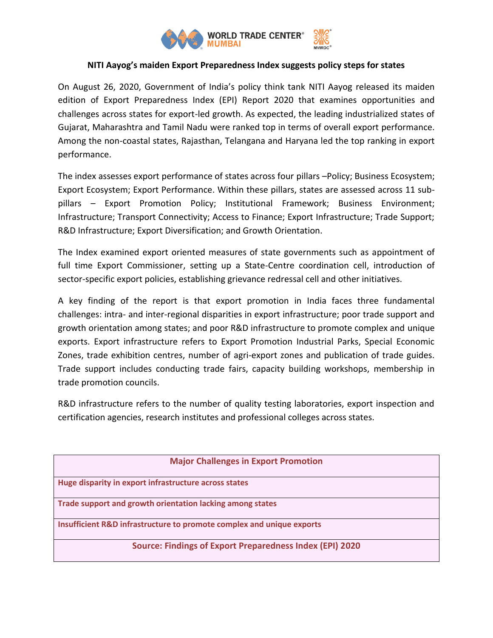

## **NITI Aayog's maiden Export Preparedness Index suggests policy steps for states**

On August 26, 2020, Government of India's policy think tank NITI Aayog released its maiden edition of Export Preparedness Index (EPI) Report 2020 that examines opportunities and challenges across states for export-led growth. As expected, the leading industrialized states of Gujarat, Maharashtra and Tamil Nadu were ranked top in terms of overall export performance. Among the non-coastal states, Rajasthan, Telangana and Haryana led the top ranking in export performance.

The index assesses export performance of states across four pillars –Policy; Business Ecosystem; Export Ecosystem; Export Performance. Within these pillars, states are assessed across 11 subpillars – Export Promotion Policy; Institutional Framework; Business Environment; Infrastructure; Transport Connectivity; Access to Finance; Export Infrastructure; Trade Support; R&D Infrastructure; Export Diversification; and Growth Orientation.

The Index examined export oriented measures of state governments such as appointment of full time Export Commissioner, setting up a State-Centre coordination cell, introduction of sector-specific export policies, establishing grievance redressal cell and other initiatives.

A key finding of the report is that export promotion in India faces three fundamental challenges: intra- and inter-regional disparities in export infrastructure; poor trade support and growth orientation among states; and poor R&D infrastructure to promote complex and unique exports. Export infrastructure refers to Export Promotion Industrial Parks, Special Economic Zones, trade exhibition centres, number of agri-export zones and publication of trade guides. Trade support includes conducting trade fairs, capacity building workshops, membership in trade promotion councils.

R&D infrastructure refers to the number of quality testing laboratories, export inspection and certification agencies, research institutes and professional colleges across states.

| <b>Major Challenges in Export Promotion</b>                           |
|-----------------------------------------------------------------------|
| Huge disparity in export infrastructure across states                 |
| Trade support and growth orientation lacking among states             |
| Insufficient R&D infrastructure to promote complex and unique exports |
| <b>Source: Findings of Export Preparedness Index (EPI) 2020</b>       |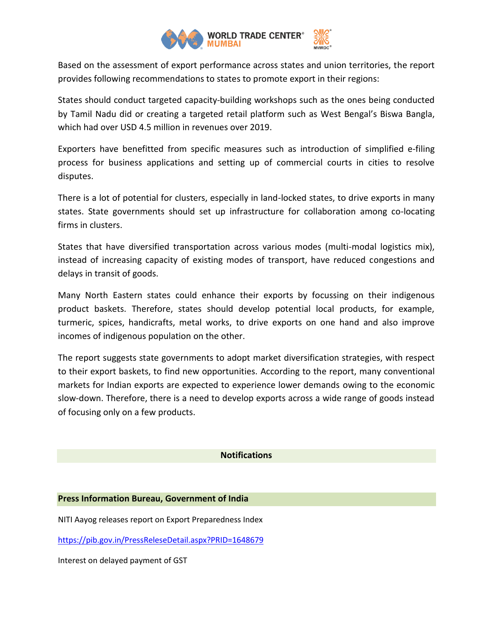

Based on the assessment of export performance across states and union territories, the report provides following recommendations to states to promote export in their regions:

States should conduct targeted capacity-building workshops such as the ones being conducted by Tamil Nadu did or creating a targeted retail platform such as West Bengal's Biswa Bangla, which had over USD 4.5 million in revenues over 2019.

Exporters have benefitted from specific measures such as introduction of simplified e-filing process for business applications and setting up of commercial courts in cities to resolve disputes.

There is a lot of potential for clusters, especially in land-locked states, to drive exports in many states. State governments should set up infrastructure for collaboration among co-locating firms in clusters.

States that have diversified transportation across various modes (multi-modal logistics mix), instead of increasing capacity of existing modes of transport, have reduced congestions and delays in transit of goods.

Many North Eastern states could enhance their exports by focussing on their indigenous product baskets. Therefore, states should develop potential local products, for example, turmeric, spices, handicrafts, metal works, to drive exports on one hand and also improve incomes of indigenous population on the other.

The report suggests state governments to adopt market diversification strategies, with respect to their export baskets, to find new opportunities. According to the report, many conventional markets for Indian exports are expected to experience lower demands owing to the economic slow-down. Therefore, there is a need to develop exports across a wide range of goods instead of focusing only on a few products.

## **Notifications**

## **Press Information Bureau, Government of India**

NITI Aayog releases report on Export Preparedness Index

<https://pib.gov.in/PressReleseDetail.aspx?PRID=1648679>

Interest on delayed payment of GST